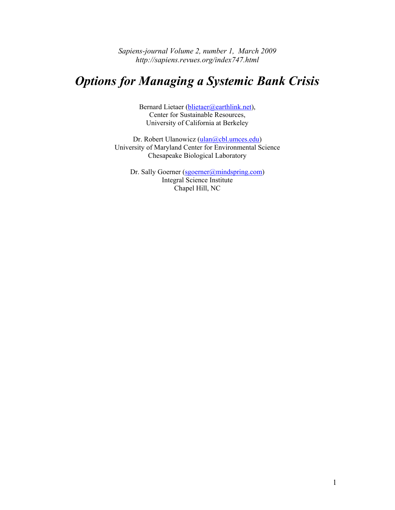*Sapiens-journal Volume 2, number 1, March 2009 http://sapiens.revues.org/index747.html* 

# *Options for Managing a Systemic Bank Crisis*

Bernard Lietaer (blietaer@earthlink.net), Center for Sustainable Resources, University of California at Berkeley

Dr. Robert Ulanowicz (ulan@cbl.umces.edu) University of Maryland Center for Environmental Science Chesapeake Biological Laboratory

Dr. Sally Goerner (sgoerner@mindspring.com) Integral Science Institute Chapel Hill, NC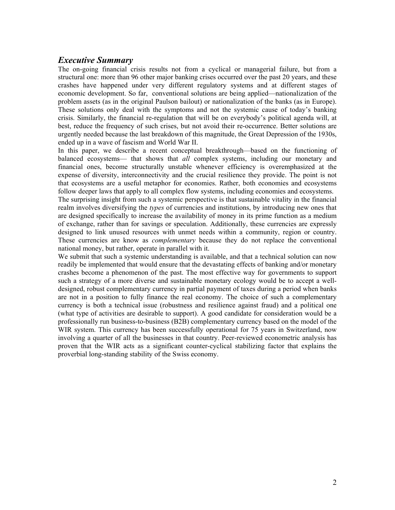### *Executive Summary*

The on-going financial crisis results not from a cyclical or managerial failure, but from a structural one: more than 96 other major banking crises occurred over the past 20 years, and these crashes have happened under very different regulatory systems and at different stages of economic development. So far, conventional solutions are being applied—nationalization of the problem assets (as in the original Paulson bailout) or nationalization of the banks (as in Europe). These solutions only deal with the symptoms and not the systemic cause of today's banking crisis. Similarly, the financial re-regulation that will be on everybody's political agenda will, at best, reduce the frequency of such crises, but not avoid their re-occurrence. Better solutions are urgently needed because the last breakdown of this magnitude, the Great Depression of the 1930s, ended up in a wave of fascism and World War II.

In this paper, we describe a recent conceptual breakthrough—based on the functioning of balanced ecosystems— that shows that *all* complex systems, including our monetary and financial ones, become structurally unstable whenever efficiency is overemphasized at the expense of diversity, interconnectivity and the crucial resilience they provide. The point is not that ecosystems are a useful metaphor for economies. Rather, both economies and ecosystems follow deeper laws that apply to all complex flow systems, including economies and ecosystems. The surprising insight from such a systemic perspective is that sustainable vitality in the financial

realm involves diversifying the *types* of currencies and institutions, by introducing new ones that are designed specifically to increase the availability of money in its prime function as a medium of exchange, rather than for savings or speculation. Additionally, these currencies are expressly designed to link unused resources with unmet needs within a community, region or country. These currencies are know as *complementary* because they do not replace the conventional national money, but rather, operate in parallel with it.

We submit that such a systemic understanding is available, and that a technical solution can now readily be implemented that would ensure that the devastating effects of banking and/or monetary crashes become a phenomenon of the past. The most effective way for governments to support such a strategy of a more diverse and sustainable monetary ecology would be to accept a welldesigned, robust complementary currency in partial payment of taxes during a period when banks are not in a position to fully finance the real economy. The choice of such a complementary currency is both a technical issue (robustness and resilience against fraud) and a political one (what type of activities are desirable to support). A good candidate for consideration would be a professionally run business-to-business (B2B) complementary currency based on the model of the WIR system. This currency has been successfully operational for 75 years in Switzerland, now involving a quarter of all the businesses in that country. Peer-reviewed econometric analysis has proven that the WIR acts as a significant counter-cyclical stabilizing factor that explains the proverbial long-standing stability of the Swiss economy.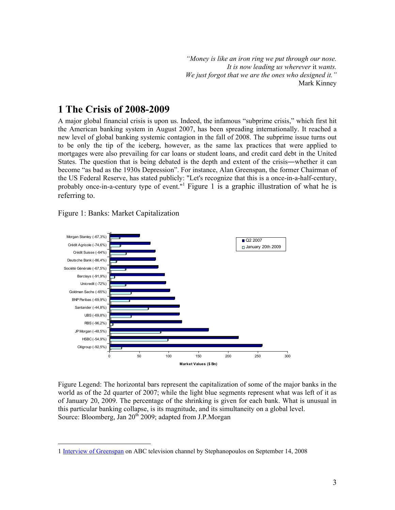*"Money is like an iron ring we put through our nose. It is now leading us wherever* it *wants. We just forgot that we are the ones who designed it."*  Mark Kinney

# **1 The Crisis of 2008-2009**

A major global financial crisis is upon us. Indeed, the infamous "subprime crisis," which first hit the American banking system in August 2007, has been spreading internationally. It reached a new level of global banking systemic contagion in the fall of 2008. The subprime issue turns out to be only the tip of the iceberg, however, as the same lax practices that were applied to mortgages were also prevailing for car loans or student loans, and credit card debt in the United States. The question that is being debated is the depth and extent of the crisis―whether it can become "as bad as the 1930s Depression". For instance, Alan Greenspan, the former Chairman of the US Federal Reserve, has stated publicly: "Let's recognize that this is a once-in-a-half-century, probably once-in-a-century type of event."<sup>1</sup> Figure 1 is a graphic illustration of what he is referring to.

Figure 1: Banks: Market Capitalization

 $\overline{a}$ 



Figure Legend: The horizontal bars represent the capitalization of some of the major banks in the world as of the 2d quarter of 2007; while the light blue segments represent what was left of it as of January 20, 2009. The percentage of the shrinking is given for each bank. What is unusual in this particular banking collapse, is its magnitude, and its simultaneity on a global level. Source: Bloomberg, Jan 20<sup>th</sup> 2009; adapted from J.P.Morgan

<sup>1</sup> Interview of Greenspan on ABC television channel by Stephanopoulos on September 14, 2008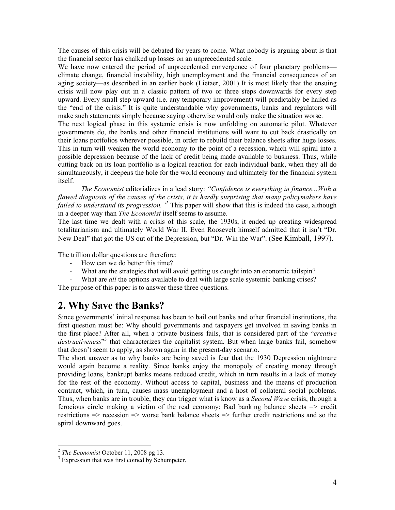The causes of this crisis will be debated for years to come. What nobody is arguing about is that the financial sector has chalked up losses on an unprecedented scale.

We have now entered the period of unprecedented convergence of four planetary problems climate change, financial instability, high unemployment and the financial consequences of an aging society—as described in an earlier book (Lietaer, 2001) It is most likely that the ensuing crisis will now play out in a classic pattern of two or three steps downwards for every step upward. Every small step upward (i.e. any temporary improvement) will predictably be hailed as the "end of the crisis." It is quite understandable why governments, banks and regulators will make such statements simply because saying otherwise would only make the situation worse.

The next logical phase in this systemic crisis is now unfolding on automatic pilot. Whatever governments do, the banks and other financial institutions will want to cut back drastically on their loans portfolios wherever possible, in order to rebuild their balance sheets after huge losses. This in turn will weaken the world economy to the point of a recession, which will spiral into a possible depression because of the lack of credit being made available to business. Thus, while cutting back on its loan portfolio is a logical reaction for each individual bank, when they all do simultaneously, it deepens the hole for the world economy and ultimately for the financial system itself.

*The Economist* editorializes in a lead story: *"Confidence is everything in finance...With a flawed diagnosis of the causes of the crisis, it is hardly surprising that many policymakers have failed to understand its progression.*"<sup>2</sup> This paper will show that this is indeed the case, although in a deeper way than *The Economist* itself seems to assume.

The last time we dealt with a crisis of this scale, the 1930s, it ended up creating widespread totalitarianism and ultimately World War II. Even Roosevelt himself admitted that it isn't "Dr. New Deal" that got the US out of the Depression, but "Dr. Win the War". (See Kimball, 1997).

The trillion dollar questions are therefore:

- How can we do better this time?
- What are the strategies that will avoid getting us caught into an economic tailspin?

What are *all* the options available to deal with large scale systemic banking crises?

The purpose of this paper is to answer these three questions.

# **2. Why Save the Banks?**

Since governments' initial response has been to bail out banks and other financial institutions, the first question must be: Why should governments and taxpayers get involved in saving banks in the first place? After all, when a private business fails, that is considered part of the "*creative*  destructiveness<sup>3</sup> that characterizes the capitalist system. But when large banks fail, somehow that doesn't seem to apply, as shown again in the present-day scenario.

The short answer as to why banks are being saved is fear that the 1930 Depression nightmare would again become a reality. Since banks enjoy the monopoly of creating money through providing loans, bankrupt banks means reduced credit, which in turn results in a lack of money for the rest of the economy. Without access to capital, business and the means of production contract, which, in turn, causes mass unemployment and a host of collateral social problems. Thus, when banks are in trouble, they can trigger what is know as a *Second Wave* crisis, through a ferocious circle making a victim of the real economy: Bad banking balance sheets => credit restrictions  $\Rightarrow$  recession  $\Rightarrow$  worse bank balance sheets  $\Rightarrow$  further credit restrictions and so the spiral downward goes.

 $\overline{a}$ 

<sup>&</sup>lt;sup>2</sup> *The Economist* October 11, 2008 pg 13.

<sup>&</sup>lt;sup>3</sup> Expression that was first coined by Schumpeter.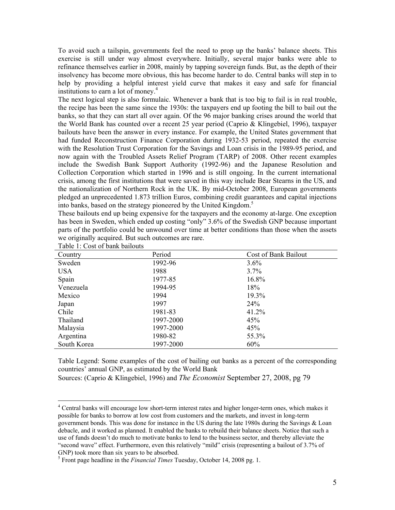To avoid such a tailspin, governments feel the need to prop up the banks' balance sheets. This exercise is still under way almost everywhere. Initially, several major banks were able to refinance themselves earlier in 2008, mainly by tapping sovereign funds. But, as the depth of their insolvency has become more obvious, this has become harder to do. Central banks will step in to help by providing a helpful interest yield curve that makes it easy and safe for financial institutions to earn a lot of money.<sup>4</sup>

The next logical step is also formulaic. Whenever a bank that is too big to fail is in real trouble, the recipe has been the same since the 1930s: the taxpayers end up footing the bill to bail out the banks, so that they can start all over again. Of the 96 major banking crises around the world that the World Bank has counted over a recent 25 year period (Caprio & Klingebiel, 1996), taxpayer bailouts have been the answer in every instance. For example, the United States government that had funded Reconstruction Finance Corporation during 1932-53 period, repeated the exercise with the Resolution Trust Corporation for the Savings and Loan crisis in the 1989-95 period, and now again with the Troubled Assets Relief Program (TARP) of 2008. Other recent examples include the Swedish Bank Support Authority (1992-96) and the Japanese Resolution and Collection Corporation which started in 1996 and is still ongoing. In the current international crisis, among the first institutions that were saved in this way include Bear Stearns in the US, and the nationalization of Northern Rock in the UK. By mid-October 2008, European governments pledged an unprecedented 1.873 trillion Euros, combining credit guarantees and capital injections into banks, based on the strategy pioneered by the United Kingdom.<sup>5</sup>

These bailouts end up being expensive for the taxpayers and the economy at-large. One exception has been in Sweden, which ended up costing "only" 3.6% of the Swedish GNP because important parts of the portfolio could be unwound over time at better conditions than those when the assets we originally acquired. But such outcomes are rare.

| Country     | Period    | Cost of Bank Bailout |
|-------------|-----------|----------------------|
| Sweden      | 1992-96   | $3.6\%$              |
| <b>USA</b>  | 1988      | 3.7%                 |
| Spain       | 1977-85   | 16.8%                |
| Venezuela   | 1994-95   | 18%                  |
| Mexico      | 1994      | 19.3%                |
| Japan       | 1997      | 24%                  |
| Chile       | 1981-83   | 41.2%                |
| Thailand    | 1997-2000 | 45%                  |
| Malaysia    | 1997-2000 | 45%                  |
| Argentina   | 1980-82   | 55.3%                |
| South Korea | 1997-2000 | 60%                  |

Table 1: Cost of bank bailouts

1

Table Legend: Some examples of the cost of bailing out banks as a percent of the corresponding countries' annual GNP, as estimated by the World Bank Sources: (Caprio & Klingebiel, 1996) and *The Economist* September 27, 2008, pg 79

<sup>&</sup>lt;sup>4</sup> Central banks will encourage low short-term interest rates and higher longer-term ones, which makes it possible for banks to borrow at low cost from customers and the markets, and invest in long-term government bonds. This was done for instance in the US during the late 1980s during the Savings & Loan debacle, and it worked as planned. It enabled the banks to rebuild their balance sheets. Notice that such a use of funds doesn't do much to motivate banks to lend to the business sector, and thereby alleviate the "second wave" effect. Furthermore, even this relatively "mild" crisis (representing a bailout of 3.7% of GNP) took more than six years to be absorbed.

<sup>5</sup> Front page headline in the *Financial Times* Tuesday, October 14, 2008 pg. 1.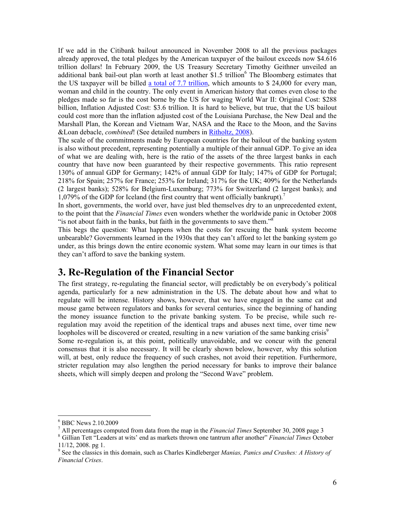If we add in the Citibank bailout announced in November 2008 to all the previous packages already approved, the total pledges by the American taxpayer of the bailout exceeds now \$4.616 trillion dollars! In February 2009, the US Treasury Secretary Timothy Geithner unveiled an additional bank bail-out plan worth at least another  $$1.5$  trillion<sup>6</sup> The Bloomberg estimates that the US taxpayer will be billed a total of 7.7 trillion, which amounts to \$ 24,000 for every man, woman and child in the country. The only event in American history that comes even close to the pledges made so far is the cost borne by the US for waging World War II: Original Cost: \$288 billion, Inflation Adjusted Cost: \$3.6 trillion. It is hard to believe, but true, that the US bailout could cost more than the inflation adjusted cost of the Louisiana Purchase, the New Deal and the Marshall Plan, the Korean and Vietnam War, NASA and the Race to the Moon, and the Savins &Loan debacle, *combined*! (See detailed numbers in Ritholtz, 2008).

The scale of the commitments made by European countries for the bailout of the banking system is also without precedent, representing potentially a multiple of their annual GDP. To give an idea of what we are dealing with, here is the ratio of the assets of the three largest banks in each country that have now been guaranteed by their respective governments. This ratio represent 130% of annual GDP for Germany; 142% of annual GDP for Italy; 147% of GDP for Portugal; 218% for Spain; 257% for France; 253% for Ireland; 317% for the UK; 409% for the Netherlands (2 largest banks); 528% for Belgium-Luxemburg; 773% for Switzerland (2 largest banks); and 1,079% of the GDP for Iceland (the first country that went officially bankrupt).<sup>7</sup>

In short, governments, the world over, have just bled themselves dry to an unprecedented extent, to the point that the *Financial Times* even wonders whether the worldwide panic in October 2008 "is not about faith in the banks, but faith in the governments to save them."<sup>8</sup>

This begs the question: What happens when the costs for rescuing the bank system become unbearable? Governments learned in the 1930s that they can't afford to let the banking system go under, as this brings down the entire economic system. What some may learn in our times is that they can't afford to save the banking system.

# **3. Re-Regulation of the Financial Sector**

The first strategy, re-regulating the financial sector, will predictably be on everybody's political agenda, particularly for a new administration in the US. The debate about how and what to regulate will be intense. History shows, however, that we have engaged in the same cat and mouse game between regulators and banks for several centuries, since the beginning of handing the money issuance function to the private banking system. To be precise, while such reregulation may avoid the repetition of the identical traps and abuses next time, over time new loopholes will be discovered or created, resulting in a new variation of the same banking crisis $\delta$ 

Some re-regulation is, at this point, politically unavoidable, and we concur with the general consensus that it is also necessary. It will be clearly shown below, however, why this solution will, at best, only reduce the frequency of such crashes, not avoid their repetition. Furthermore, stricter regulation may also lengthen the period necessary for banks to improve their balance sheets, which will simply deepen and prolong the "Second Wave" problem.

 $\overline{a}$ 

<sup>6</sup> BBC News 2.10.2009

 $^7$  All percentages computed from data from the map in the *Financial Times* September 30, 2008 page 3

<sup>&</sup>lt;sup>8</sup> Gillian Tett "Leaders at wits' end as markets thrown one tantrum after another" *Financial Times* October 11/12, 2008. pg 1.

<sup>9</sup> See the classics in this domain, such as Charles Kindleberger *Manias, Panics and Crashes: A History of Financial Crises*.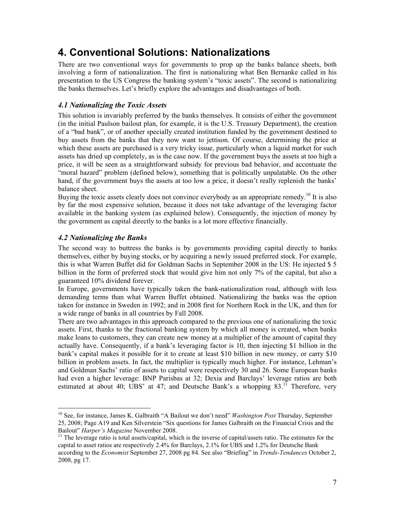# **4. Conventional Solutions: Nationalizations**

There are two conventional ways for governments to prop up the banks balance sheets, both involving a form of nationalization. The first is nationalizing what Ben Bernanke called in his presentation to the US Congress the banking system's "toxic assets". The second is nationalizing the banks themselves. Let's briefly explore the advantages and disadvantages of both.

### *4.1 Nationalizing the Toxic Assets*

This solution is invariably preferred by the banks themselves. It consists of either the government (in the initial Paulson bailout plan, for example, it is the U.S. Treasury Department), the creation of a "bad bank", or of another specially created institution funded by the government destined to buy assets from the banks that they now want to jettison. Of course, determining the price at which these assets are purchased is a very tricky issue, particularly when a liquid market for such assets has dried up completely, as is the case now. If the government buys the assets at too high a price, it will be seen as a straightforward subsidy for previous bad behavior, and accentuate the "moral hazard" problem (defined below), something that is politically unpalatable. On the other hand, if the government buys the assets at too low a price, it doesn't really replenish the banks' balance sheet.

Buying the toxic assets clearly does not convince everybody as an appropriate remedy.<sup>10</sup> It is also by far the most expensive solution, because it does not take advantage of the leveraging factor available in the banking system (as explained below). Consequently, the injection of money by the government as capital directly to the banks is a lot more effective financially.

#### *4.2 Nationalizing the Banks*

 $\overline{a}$ 

The second way to buttress the banks is by governments providing capital directly to banks themselves, either by buying stocks, or by acquiring a newly issued preferred stock. For example, this is what Warren Buffet did for Goldman Sachs in September 2008 in the US: He injected \$ 5 billion in the form of preferred stock that would give him not only 7% of the capital, but also a guaranteed 10% dividend forever.

In Europe, governments have typically taken the bank-nationalization road, although with less demanding terms than what Warren Buffet obtained. Nationalizing the banks was the option taken for instance in Sweden in 1992; and in 2008 first for Northern Rock in the UK, and then for a wide range of banks in all countries by Fall 2008.

There are two advantages in this approach compared to the previous one of nationalizing the toxic assets. First, thanks to the fractional banking system by which all money is created, when banks make loans to customers, they can create new money at a multiplier of the amount of capital they actually have. Consequently, if a bank's leveraging factor is 10, then injecting \$1 billion in the bank's capital makes it possible for it to create at least \$10 billion in new money, or carry \$10 billion in problem assets. In fact, the multiplier is typically much higher. For instance, Lehman's and Goldman Sachs' ratio of assets to capital were respectively 30 and 26. Some European banks had even a higher leverage: BNP Parisbas at 32; Dexia and Barclays' leverage ratios are both estimated at about 40; UBS' at 47; and Deutsche Bank's a whopping 83.<sup>11</sup> Therefore, very

<sup>10</sup> See, for instance, James K. Galbraith "A Bailout we don't need" *Washington Post* Thursday, September 25, 2008; Page A19 and Ken Silverstein "Six questions for James Galbraith on the Financial Crisis and the Bailout" *Harper's Magazine* November 2008.<br><sup>11</sup> The leverage ratio is total assets/capital, which is the inverse of capital/assets ratio. The estimates for the

capital to asset ratios are respectively 2.4% for Barclays, 2.1% for UBS and 1.2% for Deutsche Bank according to the *Economist* September 27, 2008 pg 84. See also "Briefing" in *Trends-Tendances* October 2, 2008, pg 17.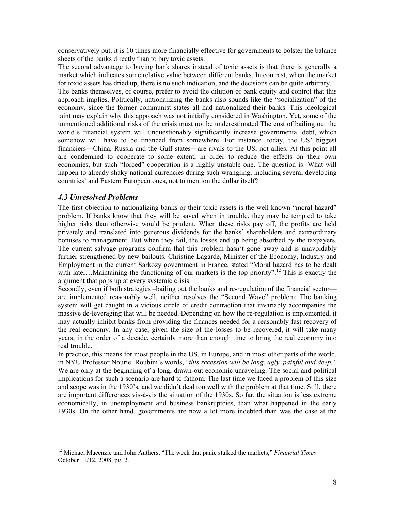conservatively put, it is 10 times more financially effective for governments to bolster the balance sheets of the banks directly than to buy toxic assets.

The second advantage to buying bank shares instead of toxic assets is that there is generally a market which indicates some relative value between different banks. In contrast, when the market for toxic assets has dried up, there is no such indication, and the decisions can be quite arbitrary.

The banks themselves, of course, prefer to avoid the dilution of bank equity and control that this approach implies. Politically, nationalizing the banks also sounds like the "socialization" of the economy, since the former communist states all had nationalized their banks. This ideological taint may explain why this approach was not initially considered in Washington. Yet, some of the unmentioned additional risks of the crisis must not be underestimated The cost of bailing out the world's financial system will unquestionably significantly increase governmental debt, which somehow will have to be financed from somewhere. For instance, today, the US' biggest financiers―China, Russia and the Gulf states―are rivals to the US, not allies. At this point all are condemned to cooperate to some extent, in order to reduce the effects on their own economies, but such "forced" cooperation is a highly unstable one. The question is: What will happen to already shaky national currencies during such wrangling, including several developing countries' and Eastern European ones, not to mention the dollar itself?

#### *4.3 Unresolved Problems*

 $\overline{a}$ 

The first objection to nationalizing banks or their toxic assets is the well known "moral hazard" problem. If banks know that they will be saved when in trouble, they may be tempted to take higher risks than otherwise would be prudent. When these risks pay off, the profits are held privately and translated into generous dividends for the banks' shareholders and extraordinary bonuses to management. But when they fail, the losses end up being absorbed by the taxpayers. The current salvage programs confirm that this problem hasn't gone away and is unavoidably further strengthened by new bailouts. Christine Lagarde, Minister of the Economy, Industry and Employment in the current Sarkozy government in France, stated "Moral hazard has to be dealt with later...Maintaining the functioning of our markets is the top priority".<sup>12</sup> This is exactly the argument that pops up at every systemic crisis.

Secondly, even if both strategies –bailing out the banks and re-regulation of the financial sector are implemented reasonably well, neither resolves the "Second Wave" problem: The banking system will get caught in a vicious circle of credit contraction that invariably accompanies the massive de-leveraging that will be needed. Depending on how the re-regulation is implemented, it may actually inhibit banks from providing the finances needed for a reasonably fast recovery of the real economy. In any case, given the size of the losses to be recovered, it will take many years, in the order of a decade, certainly more than enough time to bring the real economy into real trouble.

In practice, this means for most people in the US, in Europe, and in most other parts of the world, in NYU Professor Nouriel Roubini's words, "*this recession will be long, ugly, painful and deep."*  We are only at the beginning of a long, drawn-out economic unraveling. The social and political implications for such a scenario are hard to fathom. The last time we faced a problem of this size and scope was in the 1930's, and we didn't deal too well with the problem at that time. Still, there are important differences vis-à-vis the situation of the 1930s. So far, the situation is less extreme economically, in unemployment and business bankruptcies, than what happened in the early 1930s. On the other hand, governments are now a lot more indebted than was the case at the

<sup>&</sup>lt;sup>12</sup> Michael Macenzie and John Authers, "The week that panic stalked the markets," *Financial Times* October 11/12, 2008, pg. 2.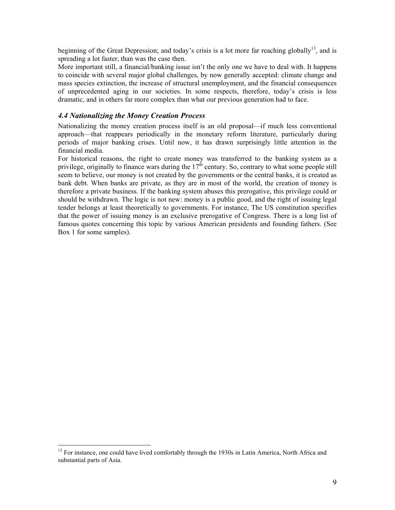beginning of the Great Depression; and today's crisis is a lot more far reaching globally<sup>13</sup>, and is spreading a lot faster, than was the case then.

More important still, a financial/banking issue isn't the only one we have to deal with. It happens to coincide with several major global challenges, by now generally accepted: climate change and mass species extinction, the increase of structural unemployment, and the financial consequences of unprecedented aging in our societies. In some respects, therefore, today's crisis is less dramatic, and in others far more complex than what our previous generation had to face.

#### *4.4 Nationalizing the Money Creation Process*

Nationalizing the money creation process itself is an old proposal—if much less conventional approach—that reappears periodically in the monetary reform literature, particularly during periods of major banking crises. Until now, it has drawn surprisingly little attention in the financial media.

For historical reasons, the right to create money was transferred to the banking system as a privilege, originally to finance wars during the  $17<sup>th</sup>$  century. So, contrary to what some people still seem to believe, our money is not created by the governments or the central banks, it is created as bank debt. When banks are private, as they are in most of the world, the creation of money is therefore a private business. If the banking system abuses this prerogative, this privilege could or should be withdrawn. The logic is not new: money is a public good, and the right of issuing legal tender belongs at least theoretically to governments. For instance, The US constitution specifies that the power of issuing money is an exclusive prerogative of Congress. There is a long list of famous quotes concerning this topic by various American presidents and founding fathers. (See Box 1 for some samples).

 $\overline{a}$ 

<sup>&</sup>lt;sup>13</sup> For instance, one could have lived comfortably through the 1930s in Latin America, North Africa and substantial parts of Asia.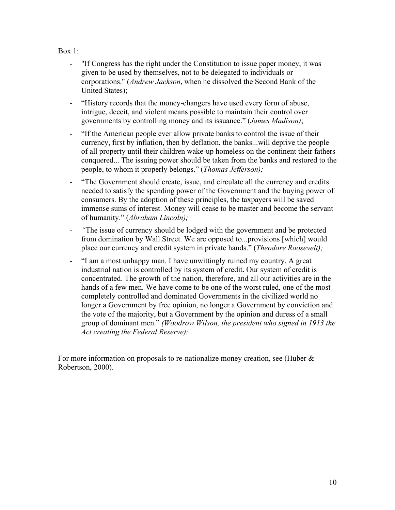### Box 1:

- "If Congress has the right under the Constitution to issue paper money, it was given to be used by themselves, not to be delegated to individuals or corporations." (*Andrew Jackson*, when he dissolved the Second Bank of the United States);
- "History records that the money-changers have used every form of abuse, intrigue, deceit, and violent means possible to maintain their control over governments by controlling money and its issuance." (*James Madison)*;
- "If the American people ever allow private banks to control the issue of their currency, first by inflation, then by deflation, the banks...will deprive the people of all property until their children wake-up homeless on the continent their fathers conquered... The issuing power should be taken from the banks and restored to the people, to whom it properly belongs." (*Thomas Jefferson);*
- "The Government should create, issue, and circulate all the currency and credits needed to satisfy the spending power of the Government and the buying power of consumers. By the adoption of these principles, the taxpayers will be saved immense sums of interest. Money will cease to be master and become the servant of humanity." (*Abraham Lincoln);*
- *"*The issue of currency should be lodged with the government and be protected from domination by Wall Street. We are opposed to...provisions [which] would place our currency and credit system in private hands." (*Theodore Roosevelt);*
- "I am a most unhappy man. I have unwittingly ruined my country. A great industrial nation is controlled by its system of credit. Our system of credit is concentrated. The growth of the nation, therefore, and all our activities are in the hands of a few men. We have come to be one of the worst ruled, one of the most completely controlled and dominated Governments in the civilized world no longer a Government by free opinion, no longer a Government by conviction and the vote of the majority, but a Government by the opinion and duress of a small group of dominant men." *(Woodrow Wilson, the president who signed in 1913 the Act creating the Federal Reserve);*

For more information on proposals to re-nationalize money creation, see (Huber  $\&$ Robertson, 2000).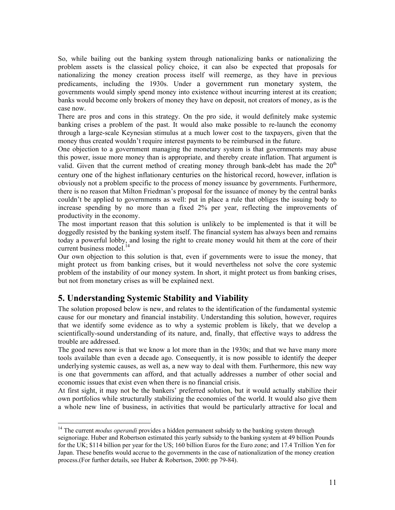So, while bailing out the banking system through nationalizing banks or nationalizing the problem assets is the classical policy choice, it can also be expected that proposals for nationalizing the money creation process itself will reemerge, as they have in previous predicaments, including the 1930s. Under a government run monetary system, the governments would simply spend money into existence without incurring interest at its creation; banks would become only brokers of money they have on deposit, not creators of money, as is the case now.

There are pros and cons in this strategy. On the pro side, it would definitely make systemic banking crises a problem of the past. It would also make possible to re-launch the economy through a large-scale Keynesian stimulus at a much lower cost to the taxpayers, given that the money thus created wouldn't require interest payments to be reimbursed in the future.

One objection to a government managing the monetary system is that governments may abuse this power, issue more money than is appropriate, and thereby create inflation. That argument is valid. Given that the current method of creating money through bank-debt has made the  $20<sup>th</sup>$ century one of the highest inflationary centuries on the historical record, however, inflation is obviously not a problem specific to the process of money issuance by governments. Furthermore, there is no reason that Milton Friedman's proposal for the issuance of money by the central banks couldn't be applied to governments as well: put in place a rule that obliges the issuing body to increase spending by no more than a fixed 2% per year, reflecting the improvements of productivity in the economy.

The most important reason that this solution is unlikely to be implemented is that it will be doggedly resisted by the banking system itself. The financial system has always been and remains today a powerful lobby, and losing the right to create money would hit them at the core of their current business model.<sup>14</sup>

Our own objection to this solution is that, even if governments were to issue the money, that might protect us from banking crises, but it would nevertheless not solve the core systemic problem of the instability of our money system. In short, it might protect us from banking crises, but not from monetary crises as will be explained next.

# **5. Understanding Systemic Stability and Viability**

 $\overline{a}$ 

The solution proposed below is new, and relates to the identification of the fundamental systemic cause for our monetary and financial instability. Understanding this solution, however, requires that we identify some evidence as to why a systemic problem is likely, that we develop a scientifically-sound understanding of its nature, and, finally, that effective ways to address the trouble are addressed.

The good news now is that we know a lot more than in the 1930s; and that we have many more tools available than even a decade ago. Consequently, it is now possible to identify the deeper underlying systemic causes, as well as, a new way to deal with them. Furthermore, this new way is one that governments can afford, and that actually addresses a number of other social and economic issues that exist even when there is no financial crisis.

At first sight, it may not be the bankers' preferred solution, but it would actually stabilize their own portfolios while structurally stabilizing the economies of the world. It would also give them a whole new line of business, in activities that would be particularly attractive for local and

<sup>&</sup>lt;sup>14</sup> The current *modus operandi* provides a hidden permanent subsidy to the banking system through seignoriage. Huber and Robertson estimated this yearly subsidy to the banking system at 49 billion Pounds for the UK; \$114 billion per year for the US; 160 billion Euros for the Euro zone; and 17.4 Trillion Yen for Japan. These benefits would accrue to the governments in the case of nationalization of the money creation process.(For further details, see Huber & Robertson, 2000: pp 79-84).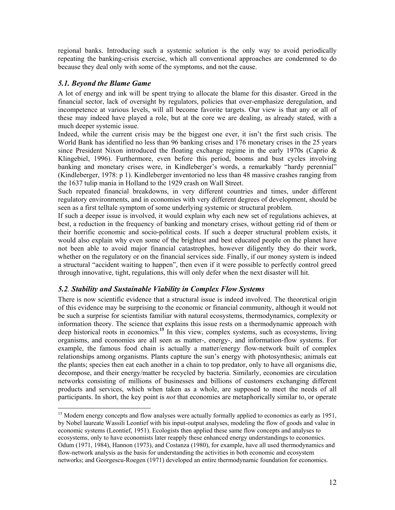regional banks. Introducing such a systemic solution is the only way to avoid periodically repeating the banking-crisis exercise, which all conventional approaches are condemned to do because they deal only with some of the symptoms, and not the cause.

#### *5.1. Beyond the Blame Game*

 $\overline{a}$ 

A lot of energy and ink will be spent trying to allocate the blame for this disaster. Greed in the financial sector, lack of oversight by regulators, policies that over-emphasize deregulation, and incompetence at various levels, will all become favorite targets. Our view is that any or all of these may indeed have played a role, but at the core we are dealing, as already stated, with a much deeper systemic issue.

Indeed, while the current crisis may be the biggest one ever, it isn't the first such crisis. The World Bank has identified no less than 96 banking crises and 176 monetary crises in the 25 years since President Nixon introduced the floating exchange regime in the early 1970s (Caprio  $\&$ Klingebiel, 1996). Furthermore, even before this period, booms and bust cycles involving banking and monetary crises were, in Kindleberger's words, a remarkably "hardy perennial" (Kindleberger, 1978: p 1). Kindleberger inventoried no less than 48 massive crashes ranging from the 1637 tulip mania in Holland to the 1929 crash on Wall Street.

Such repeated financial breakdowns, in very different countries and times, under different regulatory environments, and in economies with very different degrees of development, should be seen as a first telltale symptom of some underlying systemic or structural problem.

If such a deeper issue is involved, it would explain why each new set of regulations achieves, at best, a reduction in the frequency of banking and monetary crises, without getting rid of them or their horrific economic and socio-political costs. If such a deeper structural problem exists, it would also explain why even some of the brightest and best educated people on the planet have not been able to avoid major financial catastrophes, however diligently they do their work, whether on the regulatory or on the financial services side. Finally, if our money system is indeed a structural "accident waiting to happen", then even if it were possible to perfectly control greed through innovative, tight, regulations, this will only defer when the next disaster will hit.

#### *5.2. Stability and Sustainable Viability in Complex Flow Systems*

There is now scientific evidence that a structural issue is indeed involved. The theoretical origin of this evidence may be surprising to the economic or financial community, although it would not be such a surprise for scientists familiar with natural ecosystems, thermodynamics, complexity or information theory. The science that explains this issue rests on a thermodynamic approach with deep historical roots in economics.**<sup>15</sup>** In this view, complex systems, such as ecosystems, living organisms, and economies are all seen as matter-, energy-, and information-flow systems. For example, the famous food chain is actually a matter/energy flow-network built of complex relationships among organisms. Plants capture the sun's energy with photosynthesis; animals eat the plants; species then eat each another in a chain to top predator, only to have all organisms die, decompose, and their energy/matter be recycled by bacteria. Similarly, economies are circulation networks consisting of millions of businesses and billions of customers exchanging different products and services, which when taken as a whole, are supposed to meet the needs of all participants. In short, the key point is *not* that economies are metaphorically similar to, or operate

<sup>&</sup>lt;sup>15</sup> Modern energy concepts and flow analyses were actually formally applied to economics as early as 1951, by Nobel laureate Wassili Leontief with his input-output analyses, modeling the flow of goods and value in economic systems (Leontief, 1951). Ecologists then applied these same flow concepts and analyses to ecosystems, only to have economists later reapply these enhanced energy understandings to economics. Odum (1971, 1984), Hannon (1973), and Costanza (1980), for example, have all used thermodynamics and flow-network analysis as the basis for understanding the activities in both economic and ecosystem networks; and Georgescu-Roegen (1971) developed an entire thermodynamic foundation for economics.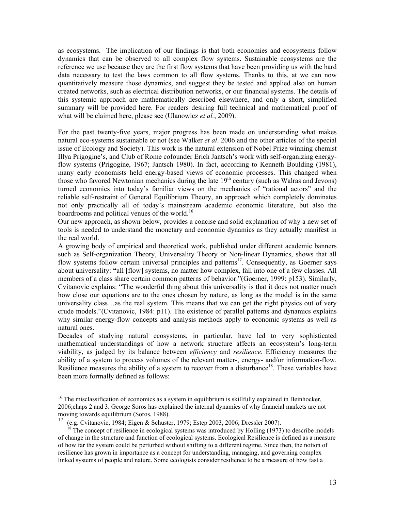as ecosystems. The implication of our findings is that both economies and ecosystems follow dynamics that can be observed to all complex flow systems. Sustainable ecosystems are the reference we use because they are the first flow systems that have been providing us with the hard data necessary to test the laws common to all flow systems. Thanks to this, at we can now quantitatively measure those dynamics, and suggest they be tested and applied also on human created networks, such as electrical distribution networks, or our financial systems. The details of this systemic approach are mathematically described elsewhere, and only a short, simplified summary will be provided here. For readers desiring full technical and mathematical proof of what will be claimed here, please see (Ulanowicz *et al.*, 2009).

For the past twenty-five years, major progress has been made on understanding what makes natural eco-systems sustainable or not (see Walker *et al*. 2006 and the other articles of the special issue of Ecology and Society). This work is the natural extension of Nobel Prize winning chemist Illya Prigogine's, and Club of Rome cofounder Erich Jantsch's work with self-organizing energyflow systems (Prigogine, 1967; Jantsch 1980). In fact, according to Kenneth Boulding (1981), many early economists held energy-based views of economic processes. This changed when those who favored Newtonian mechanics during the late  $19<sup>th</sup>$  century (such as Walras and Jevons) turned economics into today's familiar views on the mechanics of "rational actors" and the reliable self-restraint of General Equilibrium Theory, an approach which completely dominates not only practically all of today's mainstream academic economic literature, but also the boardrooms and political venues of the world.<sup>16</sup>

Our new approach, as shown below, provides a concise and solid explanation of why a new set of tools is needed to understand the monetary and economic dynamics as they actually manifest in the real world.

A growing body of empirical and theoretical work, published under different academic banners such as Self-organization Theory, Universality Theory or Non-linear Dynamics, shows that all flow systems follow certain universal principles and patterns<sup>17</sup>. Consequently, as Goerner says about universality: **"**all [flow] systems, no matter how complex, fall into one of a few classes. All members of a class share certain common patterns of behavior."(Goerner, 1999: p153). Similarly, Cvitanovic explains: "The wonderful thing about this universality is that it does not matter much how close our equations are to the ones chosen by nature, as long as the model is in the same universality class…as the real system. This means that we can get the right physics out of very crude models."(Cvitanovic, 1984: p11). The existence of parallel patterns and dynamics explains why similar energy-flow concepts and analysis methods apply to economic systems as well as natural ones.

Decades of studying natural ecosystems, in particular, have led to very sophisticated mathematical understandings of how a network structure affects an ecosystem's long-term viability, as judged by its balance between *efficiency* and *resilience.* Efficiency measures the ability of a system to process volumes of the relevant matter-, energy- and/or information-flow. Resilience measures the ability of a system to recover from a disturbance<sup>18</sup>. These variables have been more formally defined as follows:

 $\overline{a}$ 

 $16$  The misclassification of economics as a system in equilibrium is skillfully explained in Beinhocker, 2006;chaps 2 and 3. George Soros has explained the internal dynamics of why financial markets are not moving towards equilibrium (Soros, 1988).

<sup>17 (</sup>e.g. Cvitanovic, 1984; Eigen & Schuster, 1979; Estep 2003, 2006; Dressler 2007).

 $^{18}$  The concept of resilience in ecological systems was introduced by Holling (1973) to describe models of change in the structure and function of ecological systems. Ecological Resilience is defined as a measure of how far the system could be perturbed without shifting to a different regime. Since then, the notion of resilience has grown in importance as a concept for understanding, managing, and governing complex linked systems of people and nature. Some ecologists consider resilience to be a measure of how fast a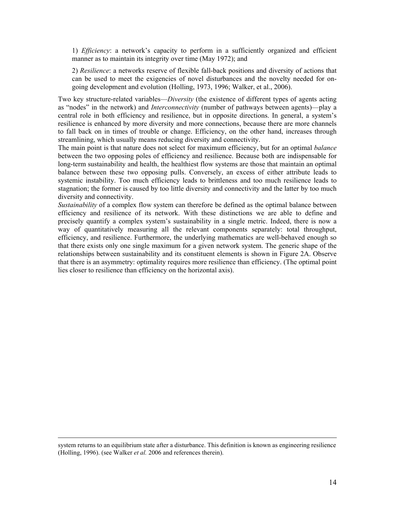1) *Efficiency*: a network's capacity to perform in a sufficiently organized and efficient manner as to maintain its integrity over time (May 1972); and

2) *Resilience*: a networks reserve of flexible fall-back positions and diversity of actions that can be used to meet the exigencies of novel disturbances and the novelty needed for ongoing development and evolution (Holling, 1973, 1996; Walker, et al., 2006).

Two key structure-related variables—*Diversity* (the existence of different types of agents acting as "nodes" in the network) and *Interconnectivity* (number of pathways between agents)—play a central role in both efficiency and resilience, but in opposite directions. In general, a system's resilience is enhanced by more diversity and more connections, because there are more channels to fall back on in times of trouble or change. Efficiency, on the other hand, increases through streamlining, which usually means reducing diversity and connectivity.

The main point is that nature does not select for maximum efficiency, but for an optimal *balance* between the two opposing poles of efficiency and resilience. Because both are indispensable for long-term sustainability and health, the healthiest flow systems are those that maintain an optimal balance between these two opposing pulls. Conversely, an excess of either attribute leads to systemic instability. Too much efficiency leads to brittleness and too much resilience leads to stagnation; the former is caused by too little diversity and connectivity and the latter by too much diversity and connectivity.

*Sustainability* of a complex flow system can therefore be defined as the optimal balance between efficiency and resilience of its network. With these distinctions we are able to define and precisely quantify a complex system's sustainability in a single metric. Indeed, there is now a way of quantitatively measuring all the relevant components separately: total throughput, efficiency, and resilience. Furthermore, the underlying mathematics are well-behaved enough so that there exists only one single maximum for a given network system. The generic shape of the relationships between sustainability and its constituent elements is shown in Figure 2A. Observe that there is an asymmetry: optimality requires more resilience than efficiency. (The optimal point lies closer to resilience than efficiency on the horizontal axis).

system returns to an equilibrium state after a disturbance. This definition is known as engineering resilience (Holling, 1996). (see Walker *et al.* 2006 and references therein).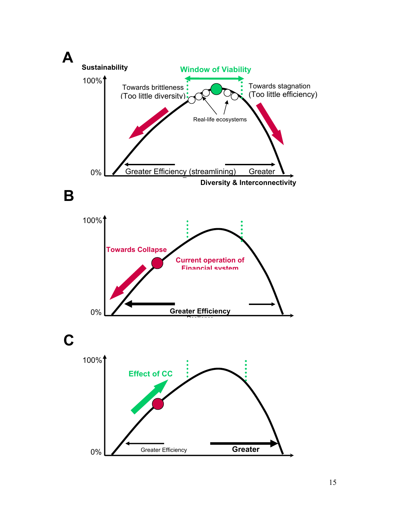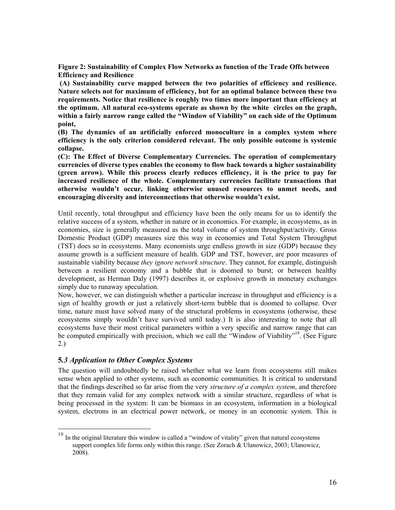**Figure 2: Sustainability of Complex Flow Networks as function of the Trade Offs between Efficiency and Resilience** 

 **(A) Sustainability curve mapped between the two polarities of efficiency and resilience. Nature selects not for maximum of efficiency, but for an optimal balance between these two requirements. Notice that resilience is roughly two times more important than efficiency at the optimum. All natural eco-systems operate as shown by the white circles on the graph, within a fairly narrow range called the "Window of Viability" on each side of the Optimum point,** 

**(B) The dynamics of an artificially enforced monoculture in a complex system where efficiency is the only criterion considered relevant. The only possible outcome is systemic collapse.** 

**(C): The Effect of Diverse Complementary Currencies. The operation of complementary currencies of diverse types enables the economy to flow back towards a higher sustainability (green arrow). While this process clearly reduces efficiency, it is the price to pay for increased resilience of the whole. Complementary currencies facilitate transactions that otherwise wouldn't occur, linking otherwise unused resources to unmet needs, and encouraging diversity and interconnections that otherwise wouldn't exist.** 

Until recently, total throughput and efficiency have been the only means for us to identify the relative success of a system, whether in nature or in economics. For example, in ecosystems, as in economies, size is generally measured as the total volume of system throughput/activity. Gross Domestic Product (GDP) measures size this way in economies and Total System Throughput (TST) does so in ecosystems. Many economists urge endless growth in size (GDP) because they assume growth is a sufficient measure of health. GDP and TST, however, are poor measures of sustainable viability because *they ignore network structure*. They cannot, for example, distinguish between a resilient economy and a bubble that is doomed to burst; or between healthy development, as Herman Daly (1997) describes it, or explosive growth in monetary exchanges simply due to runaway speculation.

Now, however, we can distinguish whether a particular increase in throughput and efficiency is a sign of healthy growth or just a relatively short-term bubble that is doomed to collapse. Over time, nature must have solved many of the structural problems in ecosystems (otherwise, these ecosystems simply wouldn't have survived until today.) It is also interesting to note that all ecosystems have their most critical parameters within a very specific and narrow range that can be computed empirically with precision, which we call the "Window of Viability"<sup>19</sup>. (See Figure 2.)

#### **5***.3 Application to Other Complex Systems*

 $\overline{a}$ 

The question will undoubtedly be raised whether what we learn from ecosystems still makes sense when applied to other systems, such as economic communities. It is critical to understand that the findings described so far arise from the very *structure of a complex system*, and therefore that they remain valid for any complex network with a similar structure, regardless of what is being processed in the system: It can be biomass in an ecosystem, information in a biological system, electrons in an electrical power network, or money in an economic system. This is

 $19$  In the original literature this window is called a "window of vitality" given that natural ecosystems support complex life forms only within this range. (See Zorach & Ulanowicz, 2003; Ulanowicz, 2008).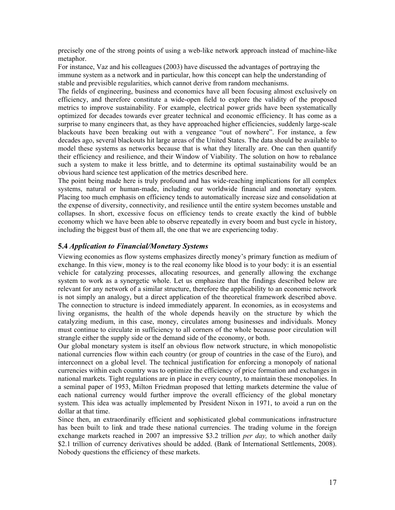precisely one of the strong points of using a web-like network approach instead of machine-like metaphor.

For instance, Vaz and his colleagues (2003) have discussed the advantages of portraying the immune system as a network and in particular, how this concept can help the understanding of stable and previsible regularities, which cannot derive from random mechanisms.

The fields of engineering, business and economics have all been focusing almost exclusively on efficiency, and therefore constitute a wide-open field to explore the validity of the proposed metrics to improve sustainability. For example, electrical power grids have been systematically optimized for decades towards ever greater technical and economic efficiency. It has come as a surprise to many engineers that, as they have approached higher efficiencies, suddenly large-scale blackouts have been breaking out with a vengeance "out of nowhere". For instance, a few decades ago, several blackouts hit large areas of the United States. The data should be available to model these systems as networks because that is what they literally are. One can then quantify their efficiency and resilience, and their Window of Viability. The solution on how to rebalance such a system to make it less brittle, and to determine its optimal sustainability would be an obvious hard science test application of the metrics described here.

The point being made here is truly profound and has wide-reaching implications for all complex systems, natural or human-made, including our worldwide financial and monetary system. Placing too much emphasis on efficiency tends to automatically increase size and consolidation at the expense of diversity, connectivity, and resilience until the entire system becomes unstable and collapses. In short, excessive focus on efficiency tends to create exactly the kind of bubble economy which we have been able to observe repeatedly in every boom and bust cycle in history, including the biggest bust of them all, the one that we are experiencing today.

#### **5.4** *Application to Financial/Monetary Systems*

Viewing economies as flow systems emphasizes directly money's primary function as medium of exchange. In this view, money is to the real economy like blood is to your body: it is an essential vehicle for catalyzing processes, allocating resources, and generally allowing the exchange system to work as a synergetic whole. Let us emphasize that the findings described below are relevant for any network of a similar structure, therefore the applicability to an economic network is not simply an analogy, but a direct application of the theoretical framework described above. The connection to structure is indeed immediately apparent. In economies, as in ecosystems and living organisms, the health of the whole depends heavily on the structure by which the catalyzing medium, in this case, money, circulates among businesses and individuals. Money must continue to circulate in sufficiency to all corners of the whole because poor circulation will strangle either the supply side or the demand side of the economy, or both.

Our global monetary system is itself an obvious flow network structure, in which monopolistic national currencies flow within each country (or group of countries in the case of the Euro), and interconnect on a global level. The technical justification for enforcing a monopoly of national currencies within each country was to optimize the efficiency of price formation and exchanges in national markets. Tight regulations are in place in every country, to maintain these monopolies. In a seminal paper of 1953, Milton Friedman proposed that letting markets determine the value of each national currency would further improve the overall efficiency of the global monetary system. This idea was actually implemented by President Nixon in 1971, to avoid a run on the dollar at that time.

Since then, an extraordinarily efficient and sophisticated global communications infrastructure has been built to link and trade these national currencies. The trading volume in the foreign exchange markets reached in 2007 an impressive \$3.2 trillion *per day,* to which another daily \$2.1 trillion of currency derivatives should be added. (Bank of International Settlements, 2008). Nobody questions the efficiency of these markets.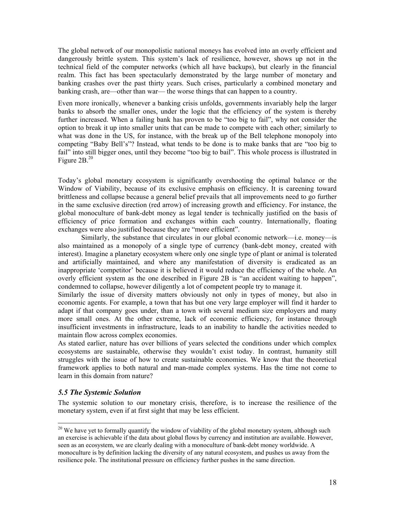The global network of our monopolistic national moneys has evolved into an overly efficient and dangerously brittle system. This system's lack of resilience, however, shows up not in the technical field of the computer networks (which all have backups), but clearly in the financial realm. This fact has been spectacularly demonstrated by the large number of monetary and banking crashes over the past thirty years. Such crises, particularly a combined monetary and banking crash, are—other than war— the worse things that can happen to a country.

Even more ironically, whenever a banking crisis unfolds, governments invariably help the larger banks to absorb the smaller ones, under the logic that the efficiency of the system is thereby further increased. When a failing bank has proven to be "too big to fail", why not consider the option to break it up into smaller units that can be made to compete with each other; similarly to what was done in the US, for instance, with the break up of the Bell telephone monopoly into competing "Baby Bell's"? Instead, what tends to be done is to make banks that are "too big to fail" into still bigger ones, until they become "too big to bail". This whole process is illustrated in Figure  $2B<sup>20</sup>$ 

Today's global monetary ecosystem is significantly overshooting the optimal balance or the Window of Viability, because of its exclusive emphasis on efficiency. It is careening toward brittleness and collapse because a general belief prevails that all improvements need to go further in the same exclusive direction (red arrow) of increasing growth and efficiency. For instance, the global monoculture of bank-debt money as legal tender is technically justified on the basis of efficiency of price formation and exchanges within each country. Internationally, floating exchanges were also justified because they are "more efficient".

Similarly, the substance that circulates in our global economic network—i.e. money—is also maintained as a monopoly of a single type of currency (bank-debt money, created with interest). Imagine a planetary ecosystem where only one single type of plant or animal is tolerated and artificially maintained, and where any manifestation of diversity is eradicated as an inappropriate 'competitor' because it is believed it would reduce the efficiency of the whole. An overly efficient system as the one described in Figure 2B is "an accident waiting to happen", condemned to collapse, however diligently a lot of competent people try to manage it.

Similarly the issue of diversity matters obviously not only in types of money, but also in economic agents. For example, a town that has but one very large employer will find it harder to adapt if that company goes under, than a town with several medium size employers and many more small ones. At the other extreme, lack of economic efficiency, for instance through insufficient investments in infrastructure, leads to an inability to handle the activities needed to maintain flow across complex economies.

As stated earlier, nature has over billions of years selected the conditions under which complex ecosystems are sustainable, otherwise they wouldn't exist today. In contrast, humanity still struggles with the issue of how to create sustainable economies. We know that the theoretical framework applies to both natural and man-made complex systems. Has the time not come to learn in this domain from nature?

#### *5.5 The Systemic Solution*

 $\overline{a}$ 

The systemic solution to our monetary crisis, therefore, is to increase the resilience of the monetary system, even if at first sight that may be less efficient.

 $20$  We have yet to formally quantify the window of viability of the global monetary system, although such an exercise is achievable if the data about global flows by currency and institution are available. However, seen as an ecosystem, we are clearly dealing with a monoculture of bank-debt money worldwide. A monoculture is by definition lacking the diversity of any natural ecosystem, and pushes us away from the resilience pole. The institutional pressure on efficiency further pushes in the same direction.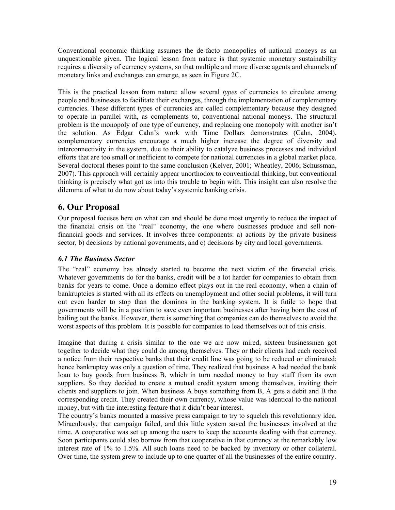Conventional economic thinking assumes the de-facto monopolies of national moneys as an unquestionable given. The logical lesson from nature is that systemic monetary sustainability requires a diversity of currency systems, so that multiple and more diverse agents and channels of monetary links and exchanges can emerge, as seen in Figure 2C.

This is the practical lesson from nature: allow several *types* of currencies to circulate among people and businesses to facilitate their exchanges, through the implementation of complementary currencies. These different types of currencies are called complementary because they designed to operate in parallel with, as complements to, conventional national moneys. The structural problem is the monopoly of one type of currency, and replacing one monopoly with another isn't the solution. As Edgar Cahn's work with Time Dollars demonstrates (Cahn, 2004), complementary currencies encourage a much higher increase the degree of diversity and interconnectivity in the system, due to their ability to catalyze business processes and individual efforts that are too small or inefficient to compete for national currencies in a global market place. Several doctoral theses point to the same conclusion (Kelver, 2001; Wheatley, 2006; Schussman, 2007). This approach will certainly appear unorthodox to conventional thinking, but conventional thinking is precisely what got us into this trouble to begin with. This insight can also resolve the dilemma of what to do now about today's systemic banking crisis.

# **6. Our Proposal**

Our proposal focuses here on what can and should be done most urgently to reduce the impact of the financial crisis on the "real" economy, the one where businesses produce and sell nonfinancial goods and services. It involves three components: a) actions by the private business sector, b) decisions by national governments, and c) decisions by city and local governments.

#### *6.1 The Business Sector*

The "real" economy has already started to become the next victim of the financial crisis. Whatever governments do for the banks, credit will be a lot harder for companies to obtain from banks for years to come. Once a domino effect plays out in the real economy, when a chain of bankruptcies is started with all its effects on unemployment and other social problems, it will turn out even harder to stop than the dominos in the banking system. It is futile to hope that governments will be in a position to save even important businesses after having born the cost of bailing out the banks. However, there is something that companies can do themselves to avoid the worst aspects of this problem. It is possible for companies to lead themselves out of this crisis.

Imagine that during a crisis similar to the one we are now mired, sixteen businessmen got together to decide what they could do among themselves. They or their clients had each received a notice from their respective banks that their credit line was going to be reduced or eliminated; hence bankruptcy was only a question of time. They realized that business A had needed the bank loan to buy goods from business B, which in turn needed money to buy stuff from its own suppliers. So they decided to create a mutual credit system among themselves, inviting their clients and suppliers to join. When business A buys something from B, A gets a debit and B the corresponding credit. They created their own currency, whose value was identical to the national money, but with the interesting feature that it didn't bear interest.

The country's banks mounted a massive press campaign to try to squelch this revolutionary idea. Miraculously, that campaign failed, and this little system saved the businesses involved at the time. A cooperative was set up among the users to keep the accounts dealing with that currency. Soon participants could also borrow from that cooperative in that currency at the remarkably low interest rate of 1% to 1.5%. All such loans need to be backed by inventory or other collateral. Over time, the system grew to include up to one quarter of all the businesses of the entire country.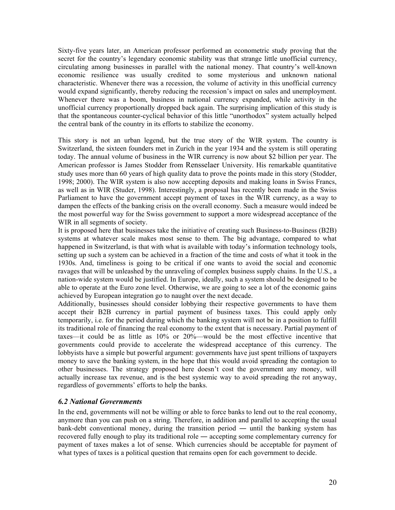Sixty-five years later, an American professor performed an econometric study proving that the secret for the country's legendary economic stability was that strange little unofficial currency, circulating among businesses in parallel with the national money. That country's well-known economic resilience was usually credited to some mysterious and unknown national characteristic. Whenever there was a recession, the volume of activity in this unofficial currency would expand significantly, thereby reducing the recession's impact on sales and unemployment. Whenever there was a boom, business in national currency expanded, while activity in the unofficial currency proportionally dropped back again. The surprising implication of this study is that the spontaneous counter-cyclical behavior of this little "unorthodox" system actually helped the central bank of the country in its efforts to stabilize the economy.

This story is not an urban legend, but the true story of the WIR system. The country is Switzerland, the sixteen founders met in Zurich in the year 1934 and the system is still operating today. The annual volume of business in the WIR currency is now about \$2 billion per year. The American professor is James Stodder from Rensselaer University. His remarkable quantitative study uses more than 60 years of high quality data to prove the points made in this story (Stodder, 1998; 2000). The WIR system is also now accepting deposits and making loans in Swiss Francs, as well as in WIR (Studer, 1998). Interestingly, a proposal has recently been made in the Swiss Parliament to have the government accept payment of taxes in the WIR currency, as a way to dampen the effects of the banking crisis on the overall economy. Such a measure would indeed be the most powerful way for the Swiss government to support a more widespread acceptance of the WIR in all segments of society.

It is proposed here that businesses take the initiative of creating such Business-to-Business (B2B) systems at whatever scale makes most sense to them. The big advantage, compared to what happened in Switzerland, is that with what is available with today's information technology tools, setting up such a system can be achieved in a fraction of the time and costs of what it took in the 1930s. And, timeliness is going to be critical if one wants to avoid the social and economic ravages that will be unleashed by the unraveling of complex business supply chains. In the U.S., a nation-wide system would be justified. In Europe, ideally, such a system should be designed to be able to operate at the Euro zone level. Otherwise, we are going to see a lot of the economic gains achieved by European integration go to naught over the next decade.

Additionally, businesses should consider lobbying their respective governments to have them accept their B2B currency in partial payment of business taxes. This could apply only temporarily, i.e. for the period during which the banking system will not be in a position to fulfill its traditional role of financing the real economy to the extent that is necessary. Partial payment of taxes—it could be as little as 10% or 20%—would be the most effective incentive that governments could provide to accelerate the widespread acceptance of this currency. The lobbyists have a simple but powerful argument: governments have just spent trillions of taxpayers money to save the banking system, in the hope that this would avoid spreading the contagion to other businesses. The strategy proposed here doesn't cost the government any money, will actually increase tax revenue, and is the best systemic way to avoid spreading the rot anyway, regardless of governments' efforts to help the banks.

#### *6.2 National Governments*

In the end, governments will not be willing or able to force banks to lend out to the real economy, anymore than you can push on a string. Therefore, in addition and parallel to accepting the usual bank-debt conventional money, during the transition period ― until the banking system has recovered fully enough to play its traditional role ― accepting some complementary currency for payment of taxes makes a lot of sense. Which currencies should be acceptable for payment of what types of taxes is a political question that remains open for each government to decide.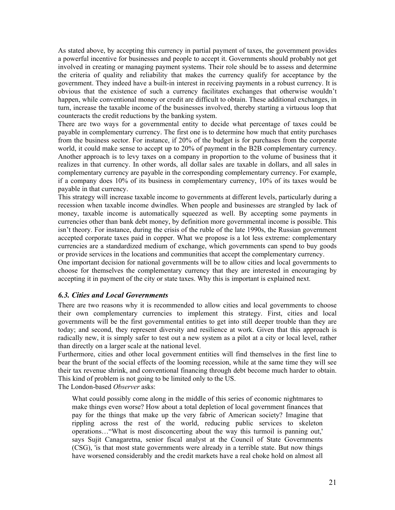As stated above, by accepting this currency in partial payment of taxes, the government provides a powerful incentive for businesses and people to accept it. Governments should probably not get involved in creating or managing payment systems. Their role should be to assess and determine the criteria of quality and reliability that makes the currency qualify for acceptance by the government. They indeed have a built-in interest in receiving payments in a robust currency. It is obvious that the existence of such a currency facilitates exchanges that otherwise wouldn't happen, while conventional money or credit are difficult to obtain. These additional exchanges, in turn, increase the taxable income of the businesses involved, thereby starting a virtuous loop that counteracts the credit reductions by the banking system.

There are two ways for a governmental entity to decide what percentage of taxes could be payable in complementary currency. The first one is to determine how much that entity purchases from the business sector. For instance, if 20% of the budget is for purchases from the corporate world, it could make sense to accept up to 20% of payment in the B2B complementary currency. Another approach is to levy taxes on a company in proportion to the volume of business that it realizes in that currency. In other words, all dollar sales are taxable in dollars, and all sales in complementary currency are payable in the corresponding complementary currency. For example, if a company does 10% of its business in complementary currency, 10% of its taxes would be payable in that currency.

This strategy will increase taxable income to governments at different levels, particularly during a recession when taxable income dwindles. When people and businesses are strangled by lack of money, taxable income is automatically squeezed as well. By accepting some payments in currencies other than bank debt money, by definition more governmental income is possible. This isn't theory. For instance, during the crisis of the ruble of the late 1990s, the Russian government accepted corporate taxes paid in copper. What we propose is a lot less extreme: complementary currencies are a standardized medium of exchange, which governments can spend to buy goods or provide services in the locations and communities that accept the complementary currency.

One important decision for national governments will be to allow cities and local governments to choose for themselves the complementary currency that they are interested in encouraging by accepting it in payment of the city or state taxes. Why this is important is explained next.

#### *6.3. Cities and Local Governments*

There are two reasons why it is recommended to allow cities and local governments to choose their own complementary currencies to implement this strategy. First, cities and local governments will be the first governmental entities to get into still deeper trouble than they are today; and second, they represent diversity and resilience at work. Given that this approach is radically new, it is simply safer to test out a new system as a pilot at a city or local level, rather than directly on a larger scale at the national level.

Furthermore, cities and other local government entities will find themselves in the first line to bear the brunt of the social effects of the looming recession, while at the same time they will see their tax revenue shrink, and conventional financing through debt become much harder to obtain. This kind of problem is not going to be limited only to the US.

The London-based *Observer* asks:

What could possibly come along in the middle of this series of economic nightmares to make things even worse? How about a total depletion of local government finances that pay for the things that make up the very fabric of American society? Imagine that rippling across the rest of the world, reducing public services to skeleton operations…"What is most disconcerting about the way this turmoil is panning out,' says Sujit Canagaretna, senior fiscal analyst at the Council of State Governments (CSG), 'is that most state governments were already in a terrible state. But now things have worsened considerably and the credit markets have a real choke hold on almost all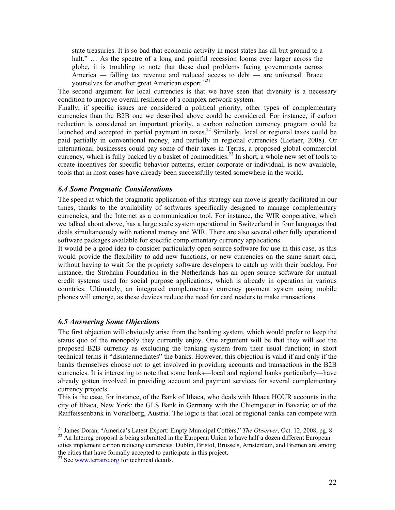state treasuries. It is so bad that economic activity in most states has all but ground to a halt." ... As the spectre of a long and painful recession looms ever larger across the globe, it is troubling to note that these dual problems facing governments across America ― falling tax revenue and reduced access to debt ― are universal. Brace yourselves for another great American export."<sup>21</sup>

The second argument for local currencies is that we have seen that diversity is a necessary condition to improve overall resilience of a complex network system.

Finally, if specific issues are considered a political priority, other types of complementary currencies than the B2B one we described above could be considered. For instance, if carbon reduction is considered an important priority, a carbon reduction currency program could be launched and accepted in partial payment in taxes.<sup>22</sup> Similarly, local or regional taxes could be paid partially in conventional money, and partially in regional currencies (Lietaer, 2008). Or international businesses could pay some of their taxes in Terras, a proposed global commercial currency, which is fully backed by a basket of commodities.<sup>23</sup> In short, a whole new set of tools to create incentives for specific behavior patterns, either corporate or individual, is now available, tools that in most cases have already been successfully tested somewhere in the world.

#### *6.4 Some Pragmatic Considerations*

The speed at which the pragmatic application of this strategy can move is greatly facilitated in our times, thanks to the availability of softwares specifically designed to manage complementary currencies, and the Internet as a communication tool. For instance, the WIR cooperative, which we talked about above, has a large scale system operational in Switzerland in four languages that deals simultaneously with national money and WIR. There are also several other fully operational software packages available for specific complementary currency applications.

It would be a good idea to consider particularly open source software for use in this case, as this would provide the flexibility to add new functions, or new currencies on the same smart card, without having to wait for the propriety software developers to catch up with their backlog. For instance, the Strohalm Foundation in the Netherlands has an open source software for mutual credit systems used for social purpose applications, which is already in operation in various countries. Ultimately, an integrated complementary currency payment system using mobile phones will emerge, as these devices reduce the need for card readers to make transactions.

#### *6.5 Answering Some Objections*

The first objection will obviously arise from the banking system, which would prefer to keep the status quo of the monopoly they currently enjoy. One argument will be that they will see the proposed B2B currency as excluding the banking system from their usual function; in short technical terms it "disintermediates" the banks. However, this objection is valid if and only if the banks themselves choose not to get involved in providing accounts and transactions in the B2B currencies. It is interesting to note that some banks—local and regional banks particularly—have already gotten involved in providing account and payment services for several complementary currency projects.

This is the case, for instance, of the Bank of Ithaca, who deals with Ithaca HOUR accounts in the city of Ithaca, New York; the GLS Bank in Germany with the Chiemgauer in Bavaria; or of the Raiffeissenbank in Vorarlberg, Austria. The logic is that local or regional banks can compete with

<sup>22</sup> An Interreg proposal is being submitted in the European Union to have half a dozen different European cities implement carbon reducing currencies. Dublin, Bristol, Brussels, Amsterdam, and Bremen are among

the cities that have formally accepted to participate in this project.<br><sup>23</sup> See www.terratrc.org for technical details.

<sup>&</sup>lt;sup>21</sup> James Doran, "America's Latest Export: Empty Municipal Coffers," The Observer, Oct. 12, 2008, pg. 8.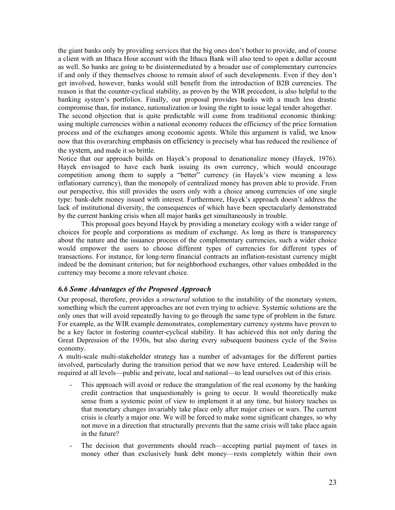the giant banks only by providing services that the big ones don't bother to provide, and of course a client with an Ithaca Hour account with the Ithaca Bank will also tend to open a dollar account as well. So banks are going to be disintermediated by a broader use of complementary currencies if and only if they themselves choose to remain aloof of such developments. Even if they don't get involved, however, banks would still benefit from the introduction of B2B currencies. The reason is that the counter-cyclical stability, as proven by the WIR precedent, is also helpful to the banking system's portfolios. Finally, our proposal provides banks with a much less drastic compromise than, for instance, nationalization or losing the right to issue legal tender altogether. The second objection that is quite predictable will come from traditional economic thinking:

using multiple currencies within a national economy reduces the efficiency of the price formation process and of the exchanges among economic agents. While this argument is valid, we know now that this overarching emphasis on efficiency is precisely what has reduced the resilience of the system, and made it so brittle.

Notice that our approach builds on Hayek's proposal to denationalize money (Hayek, 1976). Hayek envisaged to have each bank issuing its own currency, which would encourage competition among them to supply a "better" currency (in Hayek's view meaning a less inflationary currency), than the monopoly of centralized money has proven able to provide. From our perspective, this still provides the users only with a choice among currencies of one single type: bank-debt money issued with interest. Furthermore, Hayek's approach doesn't address the lack of institutional diversity, the consequences of which have been spectacularly demonstrated by the current banking crisis when all major banks get simultaneously in trouble.

This proposal goes beyond Hayek by providing a monetary ecology with a wider range of choices for people and corporations as medium of exchange. As long as there is transparency about the nature and the issuance process of the complementary currencies, such a wider choice would empower the users to choose different types of currencies for different types of transactions. For instance, for long-term financial contracts an inflation-resistant currency might indeed be the dominant criterion; but for neighborhood exchanges, other values embedded in the currency may become a more relevant choice.

#### *6.6 Some Advantages of the Proposed Approach*

Our proposal, therefore, provides a *structural* solution to the instability of the monetary system, something which the current approaches are not even trying to achieve. Systemic solutions are the only ones that will avoid repeatedly having to go through the same type of problem in the future. For example, as the WIR example demonstrates, complementary currency systems have proven to be a key factor in fostering counter-cyclical stability. It has achieved this not only during the Great Depression of the 1930s, but also during every subsequent business cycle of the Swiss economy.

A multi-scale multi-stakeholder strategy has a number of advantages for the different parties involved, particularly during the transition period that we now have entered. Leadership will be required at all levels—public and private, local and national—to lead ourselves out of this crisis.

- This approach will avoid or reduce the strangulation of the real economy by the banking credit contraction that unquestionably is going to occur. It would theoretically make sense from a systemic point of view to implement it at any time, but history teaches us that monetary changes invariably take place only after major crises or wars. The current crisis is clearly a major one. We will be forced to make some significant changes, so why not move in a direction that structurally prevents that the same crisis will take place again in the future?
- The decision that governments should reach—accepting partial payment of taxes in money other than exclusively bank debt money—rests completely within their own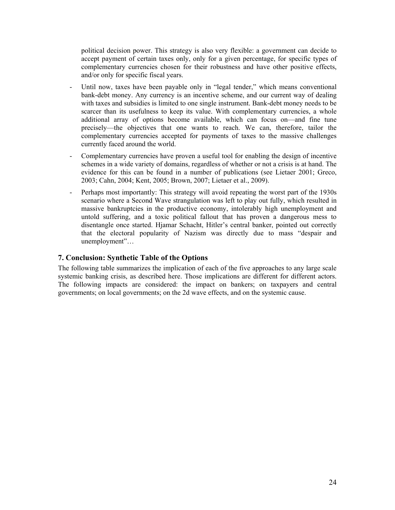political decision power. This strategy is also very flexible: a government can decide to accept payment of certain taxes only, only for a given percentage, for specific types of complementary currencies chosen for their robustness and have other positive effects, and/or only for specific fiscal years.

- Until now, taxes have been payable only in "legal tender," which means conventional bank-debt money. Any currency is an incentive scheme, and our current way of dealing with taxes and subsidies is limited to one single instrument. Bank-debt money needs to be scarcer than its usefulness to keep its value. With complementary currencies, a whole additional array of options become available, which can focus on—and fine tune precisely—the objectives that one wants to reach. We can, therefore, tailor the complementary currencies accepted for payments of taxes to the massive challenges currently faced around the world.
- Complementary currencies have proven a useful tool for enabling the design of incentive schemes in a wide variety of domains, regardless of whether or not a crisis is at hand. The evidence for this can be found in a number of publications (see Lietaer 2001; Greco, 2003; Cahn, 2004; Kent, 2005; Brown, 2007; Lietaer et al., 2009).
- Perhaps most importantly: This strategy will avoid repeating the worst part of the 1930s scenario where a Second Wave strangulation was left to play out fully, which resulted in massive bankruptcies in the productive economy, intolerably high unemployment and untold suffering, and a toxic political fallout that has proven a dangerous mess to disentangle once started. Hjamar Schacht, Hitler's central banker, pointed out correctly that the electoral popularity of Nazism was directly due to mass "despair and unemployment"…

#### **7. Conclusion: Synthetic Table of the Options**

The following table summarizes the implication of each of the five approaches to any large scale systemic banking crisis, as described here. Those implications are different for different actors. The following impacts are considered: the impact on bankers; on taxpayers and central governments; on local governments; on the 2d wave effects, and on the systemic cause.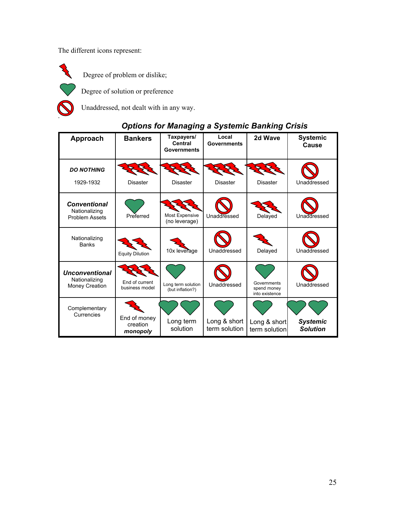The different icons represent:



Degree of problem or dislike;

Degree of solution or preference

.

Unaddressed, not dealt with in any way.

| opaono ioi managing a opotenne Banning orioio                 |                                      |                                                    |                               |                                              |                                    |  |  |
|---------------------------------------------------------------|--------------------------------------|----------------------------------------------------|-------------------------------|----------------------------------------------|------------------------------------|--|--|
| Approach                                                      | <b>Bankers</b>                       | Taxpayers/<br><b>Central</b><br><b>Governments</b> | Local<br><b>Governments</b>   | 2d Wave                                      | <b>Systemic</b><br>Cause           |  |  |
| <b>DO NOTHING</b><br>1929-1932                                | <b>Disaster</b>                      | <b>Disaster</b>                                    | <b>Disaster</b>               | <b>Disaster</b>                              | Unaddressed                        |  |  |
| <b>Conventional</b><br>Nationalizing<br><b>Problem Assets</b> | Preferred                            | Most Expensive<br>(no leverage)                    | Unaddressed                   | Delayed                                      | Unaddressed                        |  |  |
| Nationalizing<br><b>Banks</b>                                 | <b>Equity Dilution</b>               | 10x leverage                                       | Unaddressed                   | Delayed                                      | Unaddressed                        |  |  |
| <b>Unconventional</b><br>Nationalizing<br>Money Creation      | End of current<br>business model     | Long term solution<br>(but inflation?)             | Unaddressed                   | Governments<br>spend money<br>into existence | Unaddressed                        |  |  |
| Complementary<br>Currencies                                   | End of money<br>creation<br>monopoly | Long term<br>solution                              | Long & short<br>term solution | Long & short<br>term solution                | <b>Systemic</b><br><b>Solution</b> |  |  |

### *Options for Managing a Systemic Banking Crisis*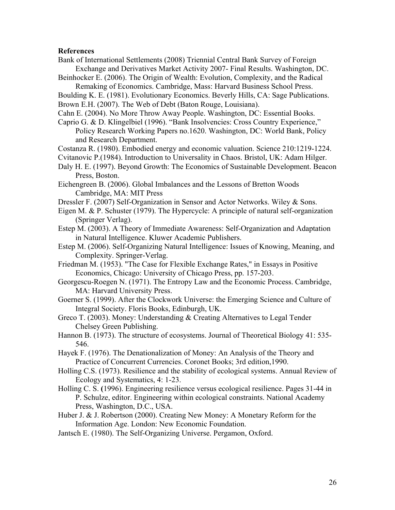#### **References**

- Bank of International Settlements (2008) Triennial Central Bank Survey of Foreign Exchange and Derivatives Market Activity 2007- Final Results. Washington, DC.
- Beinhocker E. (2006). The Origin of Wealth: Evolution, Complexity, and the Radical Remaking of Economics. Cambridge, Mass: Harvard Business School Press.

Boulding K. E. (1981). Evolutionary Economics. Beverly Hills, CA: Sage Publications. Brown E.H. (2007). The Web of Debt (Baton Rouge, Louisiana).

Cahn E. (2004). No More Throw Away People. Washington, DC: Essential Books.

Caprio G. & D. Klingelbiel (1996). "Bank Insolvencies: Cross Country Experience," Policy Research Working Papers no.1620. Washington, DC: World Bank, Policy and Research Department.

Costanza R. (1980). Embodied energy and economic valuation. Science 210:1219-1224.

Cvitanovic P.(1984). Introduction to Universality in Chaos. Bristol, UK: Adam Hilger.

- Daly H. E. (1997). Beyond Growth: The Economics of Sustainable Development. Beacon Press, Boston.
- Eichengreen B. (2006). Global Imbalances and the Lessons of Bretton Woods Cambridge, MA: MIT Press
- Dressler F. (2007) Self-Organization in Sensor and Actor Networks. Wiley & Sons.
- Eigen M. & P. Schuster (1979). The Hypercycle: A principle of natural self-organization (Springer Verlag).
- Estep M. (2003). A Theory of Immediate Awareness: Self-Organization and Adaptation in Natural Intelligence. Kluwer Academic Publishers.
- Estep M. (2006). Self-Organizing Natural Intelligence: Issues of Knowing, Meaning, and Complexity. Springer-Verlag.
- Friedman M. (1953). "The Case for Flexible Exchange Rates," in Essays in Positive Economics, Chicago: University of Chicago Press, pp. 157-203.
- Georgescu-Roegen N. (1971). The Entropy Law and the Economic Process. Cambridge, MA: Harvard University Press.
- Goerner S. (1999). After the Clockwork Universe: the Emerging Science and Culture of Integral Society. Floris Books, Edinburgh, UK.
- Greco T. (2003). Money: Understanding & Creating Alternatives to Legal Tender Chelsey Green Publishing.
- Hannon B. (1973). The structure of ecosystems. Journal of Theoretical Biology 41: 535- 546.
- Hayek F. (1976). The Denationalization of Money: An Analysis of the Theory and Practice of Concurrent Currencies. Coronet Books; 3rd edition,1990.
- Holling C.S. (1973). Resilience and the stability of ecological systems. Annual Review of Ecology and Systematics, 4: 1-23.
- Holling C. S. **(**1996). Engineering resilience versus ecological resilience. Pages 31-44 in P. Schulze, editor. Engineering within ecological constraints. National Academy Press, Washington, D.C., USA.
- Huber J. & J. Robertson (2000). Creating New Money: A Monetary Reform for the Information Age. London: New Economic Foundation.
- Jantsch E. (1980). The Self-Organizing Universe. Pergamon, Oxford.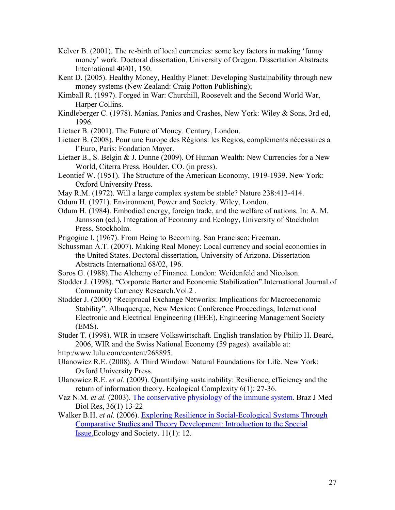- Kelver B. (2001). The re-birth of local currencies: some key factors in making 'funny money' work. Doctoral dissertation, University of Oregon. Dissertation Abstracts International 40/01, 150.
- Kent D. (2005). Healthy Money, Healthy Planet: Developing Sustainability through new money systems (New Zealand: Craig Potton Publishing);
- Kimball R. (1997). Forged in War: Churchill, Roosevelt and the Second World War, Harper Collins.
- Kindleberger C. (1978). Manias, Panics and Crashes, New York: Wiley & Sons, 3rd ed, 1996.
- Lietaer B. (2001). The Future of Money. Century, London.
- Lietaer B. (2008). Pour une Europe des Régions: les Regios, compléments nécessaires a l'Euro, Paris: Fondation Mayer.
- Lietaer B., S. Belgin & J. Dunne (2009). Of Human Wealth: New Currencies for a New World, Citerra Press. Boulder, CO. (in press).
- Leontief W. (1951). The Structure of the American Economy, 1919-1939. New York: Oxford University Press.
- May R.M. (1972). Will a large complex system be stable? Nature 238:413-414.
- Odum H. (1971). Environment, Power and Society. Wiley, London.
- Odum H. (1984). Embodied energy, foreign trade, and the welfare of nations. In: A. M. Jannsson (ed.), Integration of Economy and Ecology, University of Stockholm Press, Stockholm.
- Prigogine I. (1967). From Being to Becoming. San Francisco: Freeman.
- Schussman A.T. (2007). Making Real Money: Local currency and social economies in the United States. Doctoral dissertation, University of Arizona. Dissertation Abstracts International 68/02, 196.
- Soros G. (1988).The Alchemy of Finance. London: Weidenfeld and Nicolson.
- Stodder J. (1998). "Corporate Barter and Economic Stabilization".International Journal of Community Currency Research.Vol.2 .
- Stodder J. (2000) "Reciprocal Exchange Networks: Implications for Macroeconomic Stability". Albuquerque, New Mexico: Conference Proceedings, International Electronic and Electrical Engineering (IEEE), Engineering Management Society (EMS).
- Studer T. (1998). WIR in unsere Volkswirtschaft. English translation by Philip H. Beard, 2006, WIR and the Swiss National Economy (59 pages). available at:
- http:/www.lulu.com/content/268895.
- Ulanowicz R.E. (2008). A Third Window: Natural Foundations for Life. New York: Oxford University Press.
- Ulanowicz R.E. *et al.* (2009). Quantifying sustainability: Resilience, efficiency and the return of information theory. Ecological Complexity 6(1): 27-36.
- Vaz N.M. *et al.* (2003). The conservative physiology of the immune system. Braz J Med Biol Res, 36(1) 13-22
- Walker B.H. *et al.* (2006). Exploring Resilience in Social-Ecological Systems Through Comparative Studies and Theory Development: Introduction to the Special Issue.Ecology and Society. 11(1): 12.